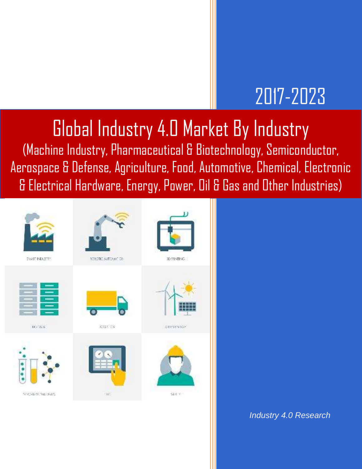## 2017-2023

## Global Industry 4.0 Market By Industry

(Machine Industry, Pharmaceutical & Biotechnology, Semiconductor, Aerospace & Defense, Agriculture, Food, Automotive, Chemical, Electronic & Electrical Hardware, Energy, Power, Oil & Gas and Other Industries)



*Industry 4.0 Research*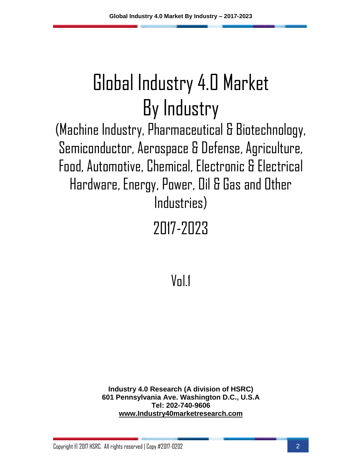(Machine Industry, Pharmaceutical & Biotechnology, Semiconductor, Aerospace & Defense, Agriculture, Food, Automotive, Chemical, Electronic & Electrical Hardware, Energy, Power, Oil & Gas and Other Industries)

2017-2023

 $V<sub>n</sub>$ |1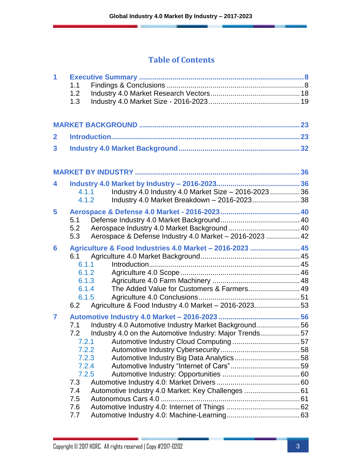| $\overline{\mathbf{1}}$ | 1.1<br>1.2<br>1.3                                                                          |                                                                                                                                                                       |  |
|-------------------------|--------------------------------------------------------------------------------------------|-----------------------------------------------------------------------------------------------------------------------------------------------------------------------|--|
|                         |                                                                                            |                                                                                                                                                                       |  |
| $\mathbf{2}$            |                                                                                            |                                                                                                                                                                       |  |
| 3                       |                                                                                            |                                                                                                                                                                       |  |
|                         |                                                                                            |                                                                                                                                                                       |  |
| 4                       | 4.1.2                                                                                      | Industry 4.0 Industry 4.0 Market Size - 2016-2023  36<br>4.1.1<br>Industry 4.0 Market Breakdown - 2016-202338                                                         |  |
| 5                       | 5.1<br>5.2<br>5.3                                                                          | Aerospace & Defense Industry 4.0 Market - 2016-2023  42                                                                                                               |  |
| 6                       | 6.1<br>6.1.1<br>6.1.2<br>6.1.3<br>6.1.4<br>6.1.5<br>6.2                                    | Agriculture & Food Industries 4.0 Market - 2016-2023  45<br>The Added Value for Customers & Farmers 49<br>Agriculture & Food Industry 4.0 Market - 2016-202353        |  |
| $\overline{7}$          | 7.1<br>7.2<br>7.2.1<br>7.2.2<br>7.2.3<br>7.2.4<br>7.2.5<br>7.3<br>7.4<br>7.5<br>7.6<br>7.7 | Industry 4.0 Automotive Industry Market Background56<br>Industry 4.0 on the Automotive Industry: Major Trends57<br>Automotive Industry 4.0 Market: Key Challenges  61 |  |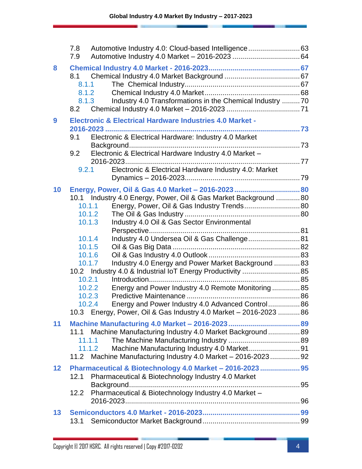|    | Automotive Industry 4.0: Cloud-based Intelligence 63<br>7.8<br>7.9                                                                                                                                                                                                                                                                                                                                                                                                        |  |
|----|---------------------------------------------------------------------------------------------------------------------------------------------------------------------------------------------------------------------------------------------------------------------------------------------------------------------------------------------------------------------------------------------------------------------------------------------------------------------------|--|
| 8  | 8.1<br>8.1.1<br>8.1.2<br>Industry 4.0 Transformations in the Chemical Industry 70<br>8.1.3<br>8.2                                                                                                                                                                                                                                                                                                                                                                         |  |
| 9  | <b>Electronic &amp; Electrical Hardware Industries 4.0 Market -</b><br>Electronic & Electrical Hardware: Industry 4.0 Market<br>9.1<br>Electronic & Electrical Hardware Industry 4.0 Market -<br>9.2<br>Electronic & Electrical Hardware Industry 4.0: Market<br>9.2.1                                                                                                                                                                                                    |  |
| 10 | Energy, Power, Oil & Gas 4.0 Market - 2016-2023  80<br>10.1 Industry 4.0 Energy, Power, Oil & Gas Market Background 80<br>Energy, Power, Oil & Gas Industry Trends 80<br>10.1.1<br>10.1.2<br>Industry 4.0 Oil & Gas Sector Environmental<br>10.1.3<br>Industry 4.0 Undersea Oil & Gas Challenge 81<br>10.1.4<br>10.1.5<br>10.1.6<br>Industry 4.0 Energy and Power Market Background  83<br>10.1.7<br>10.2 Industry 4.0 & Industrial IoT Energy Productivity  85<br>10.2.1 |  |
|    | Energy and Power Industry 4.0 Remote Monitoring85<br>10.2.2<br>10.2.3<br>Energy and Power Industry 4.0 Advanced Control 86<br>10.2.4<br>10.3 Energy, Power, Oil & Gas Industry 4.0 Market – 2016-2023  86                                                                                                                                                                                                                                                                 |  |
| 11 | Machine Manufacturing Industry 4.0 Market Background 89<br>11.1<br>11.1.1<br>11.1.2<br>11.2 Machine Manufacturing Industry 4.0 Market - 2016-2023 92                                                                                                                                                                                                                                                                                                                      |  |
| 12 | Pharmaceutical & Biotechnology 4.0 Market - 2016-2023  95<br>Pharmaceutical & Biotechnology Industry 4.0 Market<br>12.1<br>Pharmaceutical & Biotechnology Industry 4.0 Market -<br>12.2                                                                                                                                                                                                                                                                                   |  |
| 13 | 13.1                                                                                                                                                                                                                                                                                                                                                                                                                                                                      |  |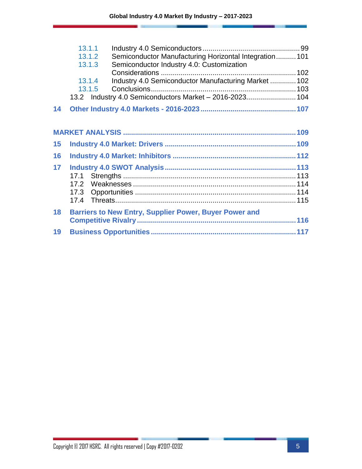|    | 13.1.1                                                           |  |
|----|------------------------------------------------------------------|--|
|    | Semiconductor Manufacturing Horizontal Integration 101<br>13.1.2 |  |
|    | Semiconductor Industry 4.0: Customization<br>13.1.3              |  |
|    |                                                                  |  |
|    | Industry 4.0 Semiconductor Manufacturing Market  102<br>13.1.4   |  |
|    | 13.1.5                                                           |  |
|    | 13.2 Industry 4.0 Semiconductors Market - 2016-2023 104          |  |
| 14 |                                                                  |  |
|    |                                                                  |  |
|    |                                                                  |  |
| 15 |                                                                  |  |
| 16 |                                                                  |  |
| 17 |                                                                  |  |
|    |                                                                  |  |
|    |                                                                  |  |
|    |                                                                  |  |
|    |                                                                  |  |
| 18 | <b>Barriers to New Entry, Supplier Power, Buyer Power and</b>    |  |
|    |                                                                  |  |
| 19 |                                                                  |  |
|    |                                                                  |  |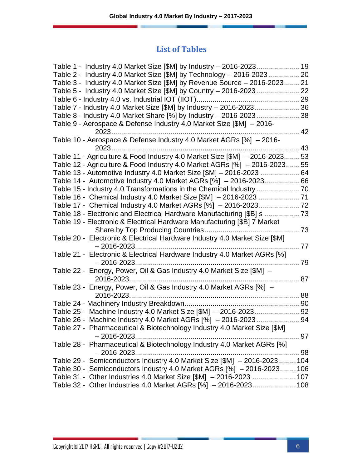#### **List of Tables**

| Table 2 - Industry 4.0 Market Size [\$M] by Technology - 2016-202320       |      |
|----------------------------------------------------------------------------|------|
| Table 3 - Industry 4.0 Market Size [\$M] by Revenue Source - 2016-202321   |      |
|                                                                            |      |
|                                                                            |      |
| Table 7 - Industry 4.0 Market Size [\$M] by Industry - 2016-202336         |      |
| Table 8 - Industry 4.0 Market Share [%] by Industry - 2016-202338          |      |
| Table 9 - Aerospace & Defense Industry 4.0 Market Size [\$M] - 2016-       |      |
|                                                                            | . 42 |
| Table 10 - Aerospace & Defense Industry 4.0 Market AGRs [%] - 2016-        |      |
|                                                                            |      |
| Table 11 - Agriculture & Food Industry 4.0 Market Size [\$M] - 2016-202353 |      |
| Table 12 - Agriculture & Food Industry 4.0 Market AGRs [%] - 2016-202355   |      |
| Table 13 - Automotive Industry 4.0 Market Size [\$M] - 2016-2023 64        |      |
| Table 14 - Automotive Industry 4.0 Market AGRs [%] - 2016-202366           |      |
|                                                                            |      |
| Table 16 - Chemical Industry 4.0 Market Size [\$M] - 2016-2023 71          |      |
| Table 17 - Chemical Industry 4.0 Market AGRs [%] - 2016-202372             |      |
| Table 18 - Electronic and Electrical Hardware Manufacturing [\$B] s 73     |      |
| Table 19 - Electronic & Electrical Hardware Manufacturing [\$B] 7 Market   |      |
|                                                                            |      |
| Table 20 - Electronic & Electrical Hardware Industry 4.0 Market Size [\$M] |      |
|                                                                            | . 77 |
| Table 21 - Electronic & Electrical Hardware Industry 4.0 Market AGRs [%]   |      |
|                                                                            |      |
| Table 22 - Energy, Power, Oil & Gas Industry 4.0 Market Size [\$M] -       |      |
| 2016-2023                                                                  |      |
| Table 23 - Energy, Power, Oil & Gas Industry 4.0 Market AGRs [%] -         |      |
|                                                                            |      |
|                                                                            |      |
|                                                                            |      |
| Table 26 - Machine Industry 4.0 Market AGRs [%] - 2016-2023 94             |      |
| Table 27 - Pharmaceutical & Biotechnology Industry 4.0 Market Size [\$M]   |      |
|                                                                            | . 97 |
| Table 28 - Pharmaceutical & Biotechnology Industry 4.0 Market AGRs [%]     |      |
|                                                                            |      |
| Table 29 - Semiconductors Industry 4.0 Market Size [\$M] - 2016-2023 104   |      |
| Table 30 - Semiconductors Industry 4.0 Market AGRs [%] - 2016-2023106      |      |
| Table 31 - Other Industries 4.0 Market Size [\$M] - 2016-2023  107         |      |
| Table 32 - Other Industries 4.0 Market AGRs [%] - 2016-2023 108            |      |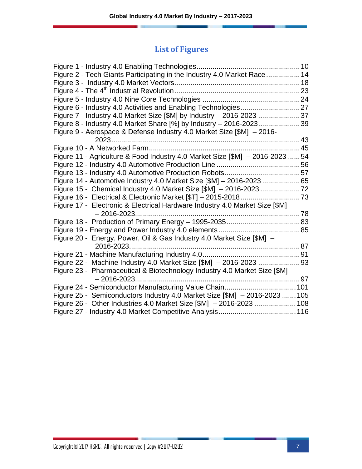| Figure 2 - Tech Giants Participating in the Industry 4.0 Market Race 14       |  |
|-------------------------------------------------------------------------------|--|
|                                                                               |  |
|                                                                               |  |
|                                                                               |  |
|                                                                               |  |
| Figure 7 - Industry 4.0 Market Size [\$M] by Industry - 2016-2023 37          |  |
| Figure 8 - Industry 4.0 Market Share [%] by Industry - 2016-202339            |  |
| Figure 9 - Aerospace & Defense Industry 4.0 Market Size [\$M] - 2016-         |  |
|                                                                               |  |
|                                                                               |  |
| Figure 11 - Agriculture & Food Industry 4.0 Market Size [\$M] - 2016-2023  54 |  |
|                                                                               |  |
|                                                                               |  |
|                                                                               |  |
|                                                                               |  |
|                                                                               |  |
| Figure 17 - Electronic & Electrical Hardware Industry 4.0 Market Size [\$M]   |  |
|                                                                               |  |
|                                                                               |  |
|                                                                               |  |
| Figure 20 - Energy, Power, Oil & Gas Industry 4.0 Market Size [\$M] -         |  |
|                                                                               |  |
|                                                                               |  |
|                                                                               |  |
| Figure 23 - Pharmaceutical & Biotechnology Industry 4.0 Market Size [\$M]     |  |
|                                                                               |  |
|                                                                               |  |
| Figure 25 - Semiconductors Industry 4.0 Market Size [\$M] - 2016-2023  105    |  |
| Figure 26 - Other Industries 4.0 Market Size [\$M] - 2016-2023  108           |  |
|                                                                               |  |
|                                                                               |  |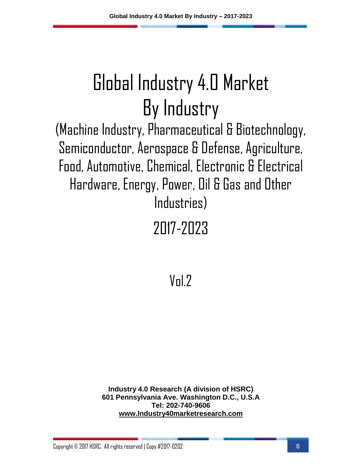(Machine Industry, Pharmaceutical & Biotechnology, Semiconductor, Aerospace & Defense, Agriculture, Food, Automotive, Chemical, Electronic & Electrical Hardware, Energy, Power, Oil & Gas and Other Industries)

### 2017-2023

 $V<sub>n</sub>$  $/2$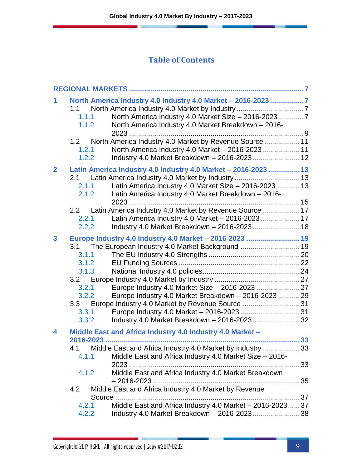| 1<br>1.1<br>1.1.1<br>1.1.2                                              | North America Industry 4.0 Industry 4.0 Market - 2016-2023 7<br>North America Industry 4.0 Market Size - 2016-20237<br>North America Industry 4.0 Market Breakdown - 2016-                                                                                                                                   |          |
|-------------------------------------------------------------------------|--------------------------------------------------------------------------------------------------------------------------------------------------------------------------------------------------------------------------------------------------------------------------------------------------------------|----------|
| 1.2<br>1.2.1<br>1.2.2                                                   | North America Industry 4.0 Market by Revenue Source  11<br>North America Industry 4.0 Market - 2016-2023 11<br>Industry 4.0 Market Breakdown - 2016-2023 12                                                                                                                                                  |          |
| $\overline{2}$<br>2.1<br>2.1.1<br>2.1.2                                 | Latin America Industry 4.0 Industry 4.0 Market - 2016-2023  13<br>Latin America Industry 4.0 Market Size - 2016-2023 13<br>Latin America Industry 4.0 Market Breakdown - 2016-                                                                                                                               |          |
| 2.2<br>2.2.1<br>2.2.2                                                   | Latin America Industry 4.0 Market by Revenue Source 17<br>Latin America Industry 4.0 Market - 2016-2023 17<br>Industry 4.0 Market Breakdown - 2016-2023 18                                                                                                                                                   |          |
| 3<br>3.1<br>3.1.1<br>3.1.2<br>3.1.3<br>3.2.1<br>3.2.2<br>3.3.1<br>3.3.2 | Europe Industry 4.0 Industry 4.0 Market - 2016-2023  19<br>The European Industry 4.0 Market Background  19<br>Europe Industry 4.0 Market Breakdown - 2016-2023  29<br>3.3 Europe Industry 4.0 Market by Revenue Source 31<br>Industry 4.0 Market Breakdown - 2016-202332                                     |          |
| 4<br>4.1<br>4.1.1<br>4.1.2<br>4.2                                       | Middle East and Africa Industry 4.0 Industry 4.0 Market -<br>2016-2023<br>Middle East and Africa Industry 4.0 Market by Industry<br>Middle East and Africa Industry 4.0 Market Size - 2016-<br>Middle East and Africa Industry 4.0 Market Breakdown<br>Middle East and Africa Industry 4.0 Market by Revenue | 33<br>33 |
| 4.2.1<br>4.2.2                                                          | Middle East and Africa Industry 4.0 Market - 2016-202337<br>Industry 4.0 Market Breakdown - 2016-2023 38                                                                                                                                                                                                     |          |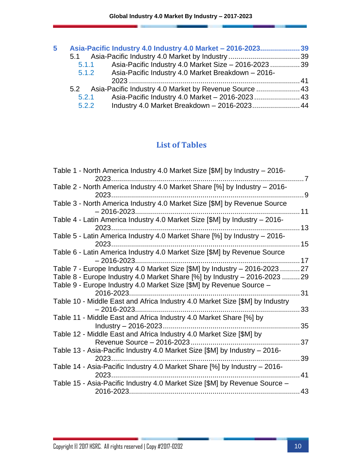| 5 | Asia-Pacific Industry 4.0 Industry 4.0 Market - 2016-202339  |  |
|---|--------------------------------------------------------------|--|
|   |                                                              |  |
|   | Asia-Pacific Industry 4.0 Market Size - 2016-202339<br>5.1.1 |  |
|   | Asia-Pacific Industry 4.0 Market Breakdown - 2016-<br>5.1.2  |  |
|   |                                                              |  |
|   | 5.2 Asia-Pacific Industry 4.0 Market by Revenue Source  43   |  |
|   | Asia-Pacific Industry 4.0 Market - 2016-2023 43<br>5.2.1     |  |
|   | Industry 4.0 Market Breakdown - 2016-2023 44<br>5.2.2        |  |

### **List of Tables**

| Table 1 - North America Industry 4.0 Market Size [\$M] by Industry - 2016-                        |                |
|---------------------------------------------------------------------------------------------------|----------------|
| 2023<br>Table 2 - North America Industry 4.0 Market Share [%] by Industry - 2016-                 | $\overline{7}$ |
| $2023$                                                                                            | . . 9          |
| Table 3 - North America Industry 4.0 Market Size [\$M] by Revenue Source<br>$-2016 - 2023.$       | 11             |
| Table 4 - Latin America Industry 4.0 Market Size [\$M] by Industry - 2016-<br>2023                | 13             |
| Table 5 - Latin America Industry 4.0 Market Share [%] by Industry - 2016-<br>2023                 | 15             |
| Table 6 - Latin America Industry 4.0 Market Size [\$M] by Revenue Source<br>$-2016 - 2023.$       | 17             |
| Table 7 - Europe Industry 4.0 Market Size [\$M] by Industry - 2016-2023                           | 27             |
| Table 8 - Europe Industry 4.0 Market Share [%] by Industry - 2016-2023  29                        |                |
| Table 9 - Europe Industry 4.0 Market Size [\$M] by Revenue Source -<br>2016-2023                  | 31             |
| Table 10 - Middle East and Africa Industry 4.0 Market Size [\$M] by Industry<br>$-2016 - 2023$    | 33             |
| Table 11 - Middle East and Africa Industry 4.0 Market Share [%] by<br>Industry - 2016-2023        | 35             |
| Table 12 - Middle East and Africa Industry 4.0 Market Size [\$M] by<br>Revenue Source - 2016-2023 | 37             |
| Table 13 - Asia-Pacific Industry 4.0 Market Size [\$M] by Industry - 2016-<br>2023                | 39             |
| Table 14 - Asia-Pacific Industry 4.0 Market Share [%] by Industry - 2016-<br>2023.                | 41             |
| Table 15 - Asia-Pacific Industry 4.0 Market Size [\$M] by Revenue Source -<br>2016-2023           | 43             |

٠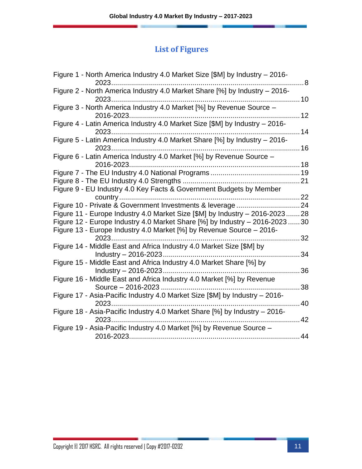| Figure 1 - North America Industry 4.0 Market Size [\$M] by Industry - 2016-<br>2023.        | .8  |
|---------------------------------------------------------------------------------------------|-----|
| Figure 2 - North America Industry 4.0 Market Share [%] by Industry - 2016-                  | 10  |
| Figure 3 - North America Industry 4.0 Market [%] by Revenue Source -<br>2016-2023.          | 12  |
| Figure 4 - Latin America Industry 4.0 Market Size [\$M] by Industry - 2016-<br>2023         | 14  |
| Figure 5 - Latin America Industry 4.0 Market Share [%] by Industry - 2016-<br>2023          | 16  |
| Figure 6 - Latin America Industry 4.0 Market [%] by Revenue Source -<br>2016-2023.          |     |
|                                                                                             |     |
| Figure 9 - EU Industry 4.0 Key Facts & Government Budgets by Member                         | 21  |
| country                                                                                     | .22 |
| Figure 10 - Private & Government Investments & leverage                                     | 24  |
| Figure 11 - Europe Industry 4.0 Market Size [\$M] by Industry - 2016-202328                 |     |
| Figure 12 - Europe Industry 4.0 Market Share [%] by Industry – 2016-2023 30                 |     |
| Figure 13 - Europe Industry 4.0 Market [%] by Revenue Source - 2016-                        | 32  |
| Figure 14 - Middle East and Africa Industry 4.0 Market Size [\$M] by                        |     |
| Industry $-2016 - 2023$                                                                     | 34  |
| Figure 15 - Middle East and Africa Industry 4.0 Market Share [%] by                         |     |
| Industry $-2016 - 2023$                                                                     | 36  |
| Figure 16 - Middle East and Africa Industry 4.0 Market [%] by Revenue<br>Source - 2016-2023 | 38  |
| Figure 17 - Asia-Pacific Industry 4.0 Market Size [\$M] by Industry - 2016-                 |     |
| 2023                                                                                        | 40  |
| Figure 18 - Asia-Pacific Industry 4.0 Market Share [%] by Industry - 2016-<br>2023.         | 42  |
| Figure 19 - Asia-Pacific Industry 4.0 Market [%] by Revenue Source -                        |     |
|                                                                                             | 44  |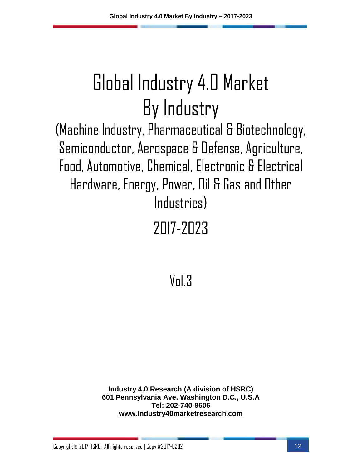(Machine Industry, Pharmaceutical & Biotechnology, Semiconductor, Aerospace & Defense, Agriculture, Food, Automotive, Chemical, Electronic & Electrical Hardware, Energy, Power, Oil & Gas and Other Industries)

## 2017-2023

 $V<sub>n</sub>$ l $3$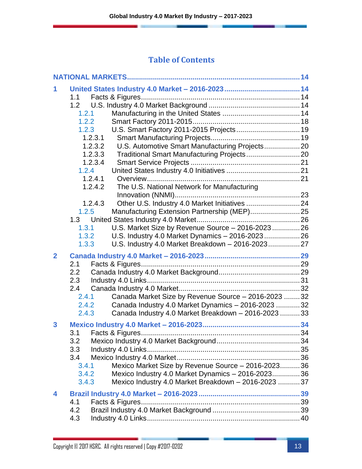|                | 1.1                                                           |  |
|----------------|---------------------------------------------------------------|--|
|                |                                                               |  |
|                | 1.2.1                                                         |  |
|                | 1.2.2                                                         |  |
|                | U.S. Smart Factory 2011-2015 Projects 19<br>1.2.3             |  |
|                | 1.2.3.1                                                       |  |
|                | U.S. Automotive Smart Manufacturing Projects 20<br>1.2.3.2    |  |
|                | Traditional Smart Manufacturing Projects 20<br>1.2.3.3        |  |
|                | 1.2.3.4                                                       |  |
|                | 1.2.4                                                         |  |
|                | 1.2.4.1                                                       |  |
|                | The U.S. National Network for Manufacturing<br>1.2.4.2        |  |
|                |                                                               |  |
|                | 1.2.4.3                                                       |  |
|                | 1.2.5                                                         |  |
|                |                                                               |  |
|                | U.S. Market Size by Revenue Source - 2016-2023 26<br>1.3.1    |  |
|                | 1.3.2<br>U.S. Industry 4.0 Market Dynamics - 2016-2023 26     |  |
|                | U.S. Industry 4.0 Market Breakdown - 2016-2023 27<br>1.3.3    |  |
|                |                                                               |  |
| $\overline{2}$ |                                                               |  |
|                |                                                               |  |
|                | 2.1<br>2.2                                                    |  |
|                |                                                               |  |
|                | 2.3<br>2.4                                                    |  |
|                | 2.4.1                                                         |  |
|                | Canada Market Size by Revenue Source - 2016-2023  32<br>2.4.2 |  |
|                | Canada Industry 4.0 Market Dynamics - 2016-2023  32<br>2.4.3  |  |
|                | Canada Industry 4.0 Market Breakdown - 2016-2023  33          |  |
| 3              |                                                               |  |
|                |                                                               |  |
|                |                                                               |  |
|                | 3.3                                                           |  |
|                | 3.4                                                           |  |
|                | Mexico Market Size by Revenue Source - 2016-2023 36<br>3.4.1  |  |
|                | Mexico Industry 4.0 Market Dynamics - 2016-2023 36<br>3.4.2   |  |
|                | Mexico Industry 4.0 Market Breakdown - 2016-2023  37<br>3.4.3 |  |
| 4              |                                                               |  |
|                | 4.1                                                           |  |
|                | 4.2<br>4.3                                                    |  |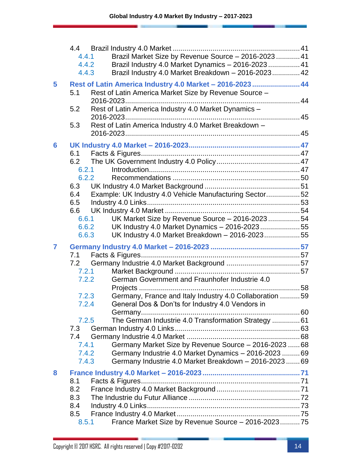|                | 4.4<br>4.4.1<br>4.4.2<br>4.4.3 | Brazil Market Size by Revenue Source - 2016-2023 41<br>Brazil Industry 4.0 Market Dynamics - 2016-2023 41<br>Brazil Industry 4.0 Market Breakdown - 2016-2023 42 |  |
|----------------|--------------------------------|------------------------------------------------------------------------------------------------------------------------------------------------------------------|--|
| 5              | 5.1                            | Rest of Latin America Industry 4.0 Market - 2016-2023  44<br>Rest of Latin America Market Size by Revenue Source -                                               |  |
|                | 5.2<br>5.3                     | Rest of Latin America Industry 4.0 Market Dynamics -<br>Rest of Latin America Industry 4.0 Market Breakdown -                                                    |  |
|                |                                |                                                                                                                                                                  |  |
| 6              |                                |                                                                                                                                                                  |  |
|                | 6.1<br>6.2                     |                                                                                                                                                                  |  |
|                | 6.2.1                          |                                                                                                                                                                  |  |
|                | 6.2.2                          |                                                                                                                                                                  |  |
|                | 6.3                            |                                                                                                                                                                  |  |
|                | 6.4<br>6.5                     | Example: UK Industry 4.0 Vehicle Manufacturing Sector52                                                                                                          |  |
|                | 6.6                            |                                                                                                                                                                  |  |
|                | 6.6.1                          | UK Market Size by Revenue Source - 2016-202354                                                                                                                   |  |
|                | 6.6.2                          | UK Industry 4.0 Market Dynamics - 2016-202355                                                                                                                    |  |
|                | 6.6.3                          | UK Industry 4.0 Market Breakdown - 2016-202355                                                                                                                   |  |
| $\overline{7}$ |                                |                                                                                                                                                                  |  |
|                | 7.1<br>7.2                     |                                                                                                                                                                  |  |
|                |                                | 7.2.1                                                                                                                                                            |  |
|                | 7.2.2                          | German Government and Fraunhofer Industrie 4.0                                                                                                                   |  |
|                |                                |                                                                                                                                                                  |  |
|                | 7.2.3<br>7.2.4                 | Germany, France and Italy Industry 4.0 Collaboration  59<br>General Dos & Don'ts for Industry 4.0 Vendors in                                                     |  |
|                |                                |                                                                                                                                                                  |  |
|                | 7.2.5                          | The German Industrie 4.0 Transformation Strategy  61                                                                                                             |  |
|                | 7.3                            |                                                                                                                                                                  |  |
|                | 7.4<br>7.4.1                   | Germany Market Size by Revenue Source - 2016-2023  68                                                                                                            |  |
|                | 7.4.2                          | Germany Industrie 4.0 Market Dynamics - 2016-2023  69                                                                                                            |  |
|                | 7.4.3                          | Germany Industrie 4.0 Market Breakdown - 2016-2023  69                                                                                                           |  |
| 8              |                                |                                                                                                                                                                  |  |
|                | 8.1                            |                                                                                                                                                                  |  |
|                | 8.2                            |                                                                                                                                                                  |  |
|                | 8.3<br>8.4                     |                                                                                                                                                                  |  |
|                | 8.5                            |                                                                                                                                                                  |  |
|                | 8.5.1                          | France Market Size by Revenue Source - 2016-202375                                                                                                               |  |
|                |                                |                                                                                                                                                                  |  |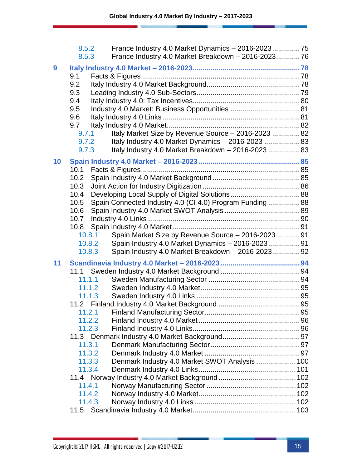|    | 8.5.2<br>8.5.3   | France Industry 4.0 Market Breakdown - 2016-202376        |  |
|----|------------------|-----------------------------------------------------------|--|
| 9  |                  |                                                           |  |
|    | 9.1              |                                                           |  |
|    | 9.2              |                                                           |  |
|    | 9.3              |                                                           |  |
|    | 9.4              |                                                           |  |
|    | 9.5              |                                                           |  |
|    | 9.6              |                                                           |  |
|    | 9.7              |                                                           |  |
|    | 9.7.1            | Italy Market Size by Revenue Source - 2016-2023  82       |  |
|    | 9.7.2            | Italy Industry 4.0 Market Dynamics - 2016-2023  83        |  |
|    | 9.7.3            | Italy Industry 4.0 Market Breakdown - 2016-2023  83       |  |
| 10 |                  |                                                           |  |
|    | 10.1             |                                                           |  |
|    | 10.2             |                                                           |  |
|    | 10.3             |                                                           |  |
|    | 10.4             |                                                           |  |
|    | 10.5             | Spain Connected Industry 4.0 (CI 4.0) Program Funding  88 |  |
|    | 10.6             |                                                           |  |
|    | 10.7             |                                                           |  |
|    | 10.8             |                                                           |  |
|    | 10.8.1           | Spain Market Size by Revenue Source - 2016-2023 91        |  |
|    | 10.8.2           | Spain Industry 4.0 Market Dynamics - 2016-2023 91         |  |
|    | 10.8.3           | Spain Industry 4.0 Market Breakdown - 2016-2023 92        |  |
| 11 |                  |                                                           |  |
|    |                  |                                                           |  |
|    | 11.1.1           |                                                           |  |
|    | 11.1.2           |                                                           |  |
|    | 11.1.3           |                                                           |  |
|    |                  |                                                           |  |
|    | 11.2.1           |                                                           |  |
|    | 11.2.2           |                                                           |  |
|    | 11.2.3           |                                                           |  |
|    |                  |                                                           |  |
|    | 11.3.1           |                                                           |  |
|    | 11.3.2<br>11.3.3 |                                                           |  |
|    | 11.3.4           | Denmark Industry 4.0 Market SWOT Analysis  100            |  |
|    |                  |                                                           |  |
|    | 11.4.1           |                                                           |  |
|    | 11.4.2           |                                                           |  |
|    | 11.4.3           |                                                           |  |
|    | 11.5             |                                                           |  |
|    |                  |                                                           |  |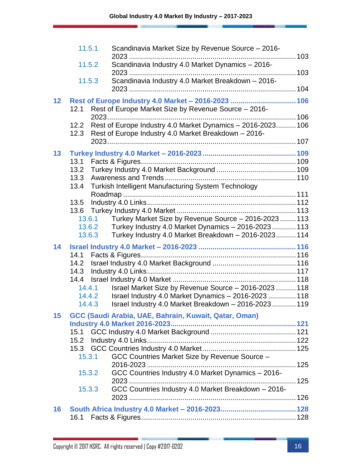|    | 11.5.1         | Scandinavia Market Size by Revenue Source - 2016-           |  |
|----|----------------|-------------------------------------------------------------|--|
|    |                |                                                             |  |
|    | 11.5.2         | Scandinavia Industry 4.0 Market Dynamics - 2016-            |  |
|    |                |                                                             |  |
|    | 11.5.3         | Scandinavia Industry 4.0 Market Breakdown - 2016-           |  |
|    |                |                                                             |  |
| 12 |                | Rest of Europe Industry 4.0 Market - 2016-2023  106         |  |
|    | 12.1           | Rest of Europe Market Size by Revenue Source - 2016-        |  |
|    |                |                                                             |  |
|    | 12.2<br>12.3   | Rest of Europe Industry 4.0 Market Dynamics - 2016-2023 106 |  |
|    |                | Rest of Europe Industry 4.0 Market Breakdown - 2016-        |  |
|    |                |                                                             |  |
| 13 |                |                                                             |  |
|    | 13.1           |                                                             |  |
|    | 13.2<br>13.3   |                                                             |  |
|    | 13.4           | Turkish Intelligent Manufacturing System Technology         |  |
|    |                |                                                             |  |
|    | 13.5           |                                                             |  |
|    |                |                                                             |  |
|    | 13.6.1         | Turkey Market Size by Revenue Source - 2016-2023 113        |  |
|    | 13.6.2         | Turkey Industry 4.0 Market Dynamics - 2016-2023  113        |  |
|    | 13.6.3         | Turkey Industry 4.0 Market Breakdown - 2016-2023 114        |  |
| 14 |                |                                                             |  |
|    | 14.1           |                                                             |  |
|    | 14.2           |                                                             |  |
|    |                |                                                             |  |
|    |                |                                                             |  |
|    | 14.4.1         | Israel Market Size by Revenue Source - 2016-2023  118       |  |
|    | 14.4.2         | Israel Industry 4.0 Market Dynamics - 2016-2023  118        |  |
|    | 14.4.3         | Israel Industry 4.0 Market Breakdown - 2016-2023  119       |  |
| 15 |                | GCC (Saudi Arabia, UAE, Bahrain, Kuwait, Qatar, Oman)       |  |
|    |                |                                                             |  |
|    |                |                                                             |  |
|    |                |                                                             |  |
|    | 15.3<br>15.3.1 | GCC Countries Market Size by Revenue Source -               |  |
|    |                |                                                             |  |
|    | 15.3.2         | GCC Countries Industry 4.0 Market Dynamics - 2016-          |  |
|    |                |                                                             |  |
|    | 15.3.3         | GCC Countries Industry 4.0 Market Breakdown - 2016-         |  |
|    |                |                                                             |  |
| 16 |                |                                                             |  |
|    | 16.1           |                                                             |  |
|    |                |                                                             |  |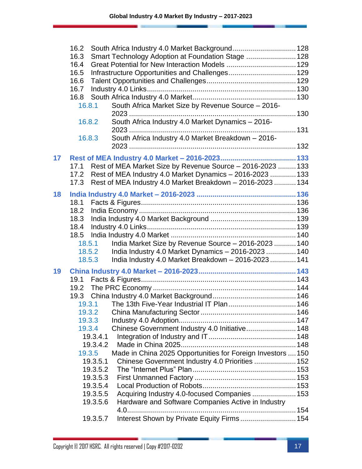|    | South Africa Industry 4.0 Market Background 128<br>16.2               |  |
|----|-----------------------------------------------------------------------|--|
|    | Smart Technology Adoption at Foundation Stage  128<br>16.3            |  |
|    | 16.4                                                                  |  |
|    | 16.5                                                                  |  |
|    | 16.6                                                                  |  |
|    | 16.7                                                                  |  |
|    | 16.8                                                                  |  |
|    | South Africa Market Size by Revenue Source - 2016-<br>16.8.1          |  |
|    | South Africa Industry 4.0 Market Dynamics - 2016-<br>16.8.2           |  |
|    |                                                                       |  |
|    | South Africa Industry 4.0 Market Breakdown - 2016-<br>16.8.3          |  |
|    |                                                                       |  |
| 17 |                                                                       |  |
|    | Rest of MEA Market Size by Revenue Source - 2016-2023  133<br>17.1    |  |
|    | Rest of MEA Industry 4.0 Market Dynamics - 2016-2023  133<br>17.2     |  |
|    | 17.3 Rest of MEA Industry 4.0 Market Breakdown - 2016-2023  134       |  |
| 18 |                                                                       |  |
|    | 18.1                                                                  |  |
|    | 18.2                                                                  |  |
|    | 18.3                                                                  |  |
|    | 18.4                                                                  |  |
|    |                                                                       |  |
|    | India Market Size by Revenue Source - 2016-2023  140<br>18.5.1        |  |
|    | India Industry 4.0 Market Dynamics - 2016-2023  140<br>18.5.2         |  |
|    | India Industry 4.0 Market Breakdown - 2016-2023  141<br>18.5.3        |  |
| 19 |                                                                       |  |
|    |                                                                       |  |
|    |                                                                       |  |
|    |                                                                       |  |
|    |                                                                       |  |
|    | 19.3.2                                                                |  |
|    | 19.3.3                                                                |  |
|    | Chinese Government Industry 4.0 Initiative 148<br>19.3.4              |  |
|    | 19.3.4.1                                                              |  |
|    | 19.3.4.2                                                              |  |
|    | Made in China 2025 Opportunities for Foreign Investors  150<br>19.3.5 |  |
|    | Chinese Government Industry 4.0 Priorities  152<br>19.3.5.1           |  |
|    | 19.3.5.2<br>19.3.5.3                                                  |  |
|    | 19.3.5.4                                                              |  |
|    | Acquiring Industry 4.0-focused Companies  153<br>19.3.5.5             |  |
|    | Hardware and Software Companies Active in Industry<br>19.3.5.6        |  |
|    |                                                                       |  |
|    | Interest Shown by Private Equity Firms  154<br>19.3.5.7               |  |
|    |                                                                       |  |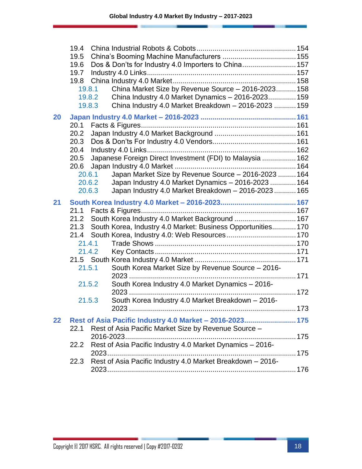|    | 19.4   |                                                                |     |
|----|--------|----------------------------------------------------------------|-----|
|    | 19.5   |                                                                |     |
|    | 19.6   | Dos & Don'ts for Industry 4.0 Importers to China 157           |     |
|    | 19.7   |                                                                |     |
|    | 19.8   |                                                                |     |
|    | 19.8.1 | China Market Size by Revenue Source - 2016-2023 158            |     |
|    |        | China Industry 4.0 Market Dynamics - 2016-2023 159<br>19.8.2   |     |
|    |        | China Industry 4.0 Market Breakdown - 2016-2023  159<br>19.8.3 |     |
| 20 |        |                                                                |     |
|    | 20.1   |                                                                |     |
|    | 20.2   |                                                                |     |
|    | 20.3   |                                                                |     |
|    | 20.4   |                                                                |     |
|    | 20.5   | Japanese Foreign Direct Investment (FDI) to Malaysia  162      |     |
|    | 20.6   |                                                                |     |
|    | 20.6.1 | Japan Market Size by Revenue Source - 2016-2023  164           |     |
|    |        | Japan Industry 4.0 Market Dynamics - 2016-2023  164<br>20.6.2  |     |
|    | 20.6.3 | Japan Industry 4.0 Market Breakdown - 2016-2023 165            |     |
| 21 |        |                                                                |     |
|    | 21.1   |                                                                |     |
|    | 21.2   | South Korea Industry 4.0 Market Background  167                |     |
|    | 21.3   | South Korea, Industry 4.0 Market: Business Opportunities 170   |     |
|    | 21.4   |                                                                |     |
|    | 21.4.1 |                                                                |     |
|    | 21.4.2 |                                                                |     |
|    |        |                                                                |     |
|    | 21.5.1 | South Korea Market Size by Revenue Source - 2016-              |     |
|    |        |                                                                |     |
|    | 21.5.2 | South Korea Industry 4.0 Market Dynamics - 2016-               |     |
|    | 21.5.3 | South Korea Industry 4.0 Market Breakdown - 2016-              |     |
|    |        | 2023                                                           | 173 |
|    |        |                                                                |     |
| 22 |        | Rest of Asia Pacific Industry 4.0 Market - 2016-2023 175       |     |
|    | 22.1   | Rest of Asia Pacific Market Size by Revenue Source -           |     |
|    |        | 2016-2023                                                      |     |
|    | 22.2   | Rest of Asia Pacific Industry 4.0 Market Dynamics - 2016-      |     |
|    |        |                                                                |     |
|    | 22.3   | Rest of Asia Pacific Industry 4.0 Market Breakdown - 2016-     |     |
|    |        |                                                                |     |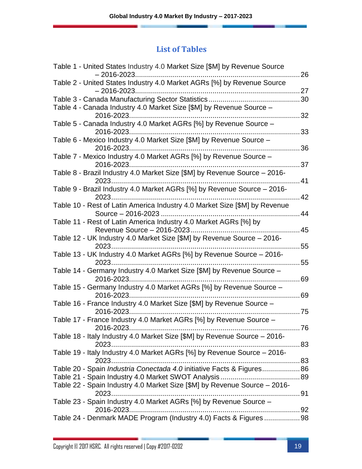### **List of Tables**

| Table 1 - United States Industry 4.0 Market Size [\$M] by Revenue Source<br>$-2016 - 2023$ | 26   |
|--------------------------------------------------------------------------------------------|------|
| Table 2 - United States Industry 4.0 Market AGRs [%] by Revenue Source                     | .27  |
|                                                                                            |      |
| Table 4 - Canada Industry 4.0 Market Size [\$M] by Revenue Source -                        |      |
| 2016-2023                                                                                  | 32   |
| Table 5 - Canada Industry 4.0 Market AGRs [%] by Revenue Source -                          |      |
| 2016-2023                                                                                  | 33   |
| Table 6 - Mexico Industry 4.0 Market Size [\$M] by Revenue Source -                        |      |
|                                                                                            | 36   |
| Table 7 - Mexico Industry 4.0 Market AGRs [%] by Revenue Source -                          |      |
| 2016-2023                                                                                  | 37   |
| Table 8 - Brazil Industry 4.0 Market Size [\$M] by Revenue Source - 2016-                  |      |
|                                                                                            | 41   |
| Table 9 - Brazil Industry 4.0 Market AGRs [%] by Revenue Source - 2016-                    |      |
|                                                                                            | 42   |
| Table 10 - Rest of Latin America Industry 4.0 Market Size [\$M] by Revenue                 |      |
| Source - 2016-2023                                                                         | 44   |
| Table 11 - Rest of Latin America Industry 4.0 Market AGRs [%] by                           |      |
|                                                                                            | 45   |
| Table 12 - UK Industry 4.0 Market Size [\$M] by Revenue Source - 2016-                     |      |
|                                                                                            | 55   |
| Table 13 - UK Industry 4.0 Market AGRs [%] by Revenue Source - 2016-                       |      |
|                                                                                            | 55   |
| Table 14 - Germany Industry 4.0 Market Size [\$M] by Revenue Source -                      |      |
| 2016-2023                                                                                  | 69   |
| Table 15 - Germany Industry 4.0 Market AGRs [%] by Revenue Source -                        |      |
|                                                                                            | 69   |
| Table 16 - France Industry 4.0 Market Size [\$M] by Revenue Source -                       |      |
| 2016-2023                                                                                  | 75   |
| Table 17 - France Industry 4.0 Market AGRs [%] by Revenue Source -                         |      |
|                                                                                            | . 76 |
| Table 18 - Italy Industry 4.0 Market Size [\$M] by Revenue Source - 2016-                  |      |
|                                                                                            |      |
| Table 19 - Italy Industry 4.0 Market AGRs [%] by Revenue Source - 2016-                    |      |
|                                                                                            |      |
| Table 20 - Spain <i>Industria Conectada 4.0</i> initiative Facts & Figures86               |      |
|                                                                                            |      |
| Table 22 - Spain Industry 4.0 Market Size [\$M] by Revenue Source - 2016-                  |      |
|                                                                                            |      |
| Table 23 - Spain Industry 4.0 Market AGRs [%] by Revenue Source -                          |      |
|                                                                                            |      |
| Table 24 - Denmark MADE Program (Industry 4.0) Facts & Figures 98                          |      |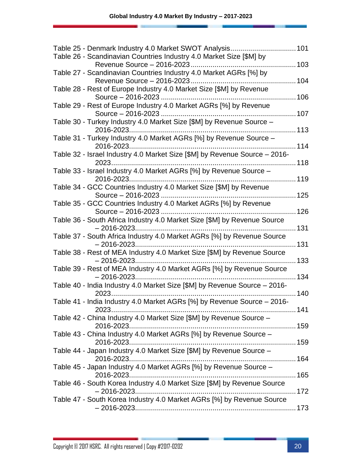| Table 25 - Denmark Industry 4.0 Market SWOT Analysis<br>101                |     |
|----------------------------------------------------------------------------|-----|
| Table 26 - Scandinavian Countries Industry 4.0 Market Size [\$M] by        |     |
|                                                                            |     |
| Table 27 - Scandinavian Countries Industry 4.0 Market AGRs [%] by          | 104 |
| Table 28 - Rest of Europe Industry 4.0 Market Size [\$M] by Revenue        |     |
|                                                                            | 106 |
| Table 29 - Rest of Europe Industry 4.0 Market AGRs [%] by Revenue          |     |
|                                                                            |     |
| Table 30 - Turkey Industry 4.0 Market Size [\$M] by Revenue Source -       |     |
|                                                                            |     |
| Table 31 - Turkey Industry 4.0 Market AGRs [%] by Revenue Source -         |     |
|                                                                            |     |
|                                                                            |     |
| Table 32 - Israel Industry 4.0 Market Size [\$M] by Revenue Source - 2016- |     |
|                                                                            |     |
| Table 33 - Israel Industry 4.0 Market AGRs [%] by Revenue Source -         |     |
|                                                                            |     |
| Table 34 - GCC Countries Industry 4.0 Market Size [\$M] by Revenue         |     |
|                                                                            |     |
| Table 35 - GCC Countries Industry 4.0 Market AGRs [%] by Revenue           |     |
|                                                                            | 126 |
| Table 36 - South Africa Industry 4.0 Market Size [\$M] by Revenue Source   |     |
| Table 37 - South Africa Industry 4.0 Market AGRs [%] by Revenue Source     |     |
|                                                                            | 131 |
| Table 38 - Rest of MEA Industry 4.0 Market Size [\$M] by Revenue Source    |     |
| $-2016 - 2023$                                                             | 133 |
| Table 39 - Rest of MEA Industry 4.0 Market AGRs [%] by Revenue Source      |     |
|                                                                            | 134 |
| Table 40 - India Industry 4.0 Market Size [\$M] by Revenue Source - 2016-  |     |
|                                                                            | 140 |
| Table 41 - India Industry 4.0 Market AGRs [%] by Revenue Source - 2016-    |     |
| $2023$<br>. 141                                                            |     |
| Table 42 - China Industry 4.0 Market Size [\$M] by Revenue Source -        |     |
|                                                                            |     |
| Table 43 - China Industry 4.0 Market AGRs [%] by Revenue Source -          |     |
|                                                                            |     |
| Table 44 - Japan Industry 4.0 Market Size [\$M] by Revenue Source -        |     |
|                                                                            |     |
| Table 45 - Japan Industry 4.0 Market AGRs [%] by Revenue Source -          |     |
|                                                                            |     |
| Table 46 - South Korea Industry 4.0 Market Size [\$M] by Revenue Source    |     |
|                                                                            |     |
| Table 47 - South Korea Industry 4.0 Market AGRs [%] by Revenue Source      |     |
|                                                                            |     |
|                                                                            |     |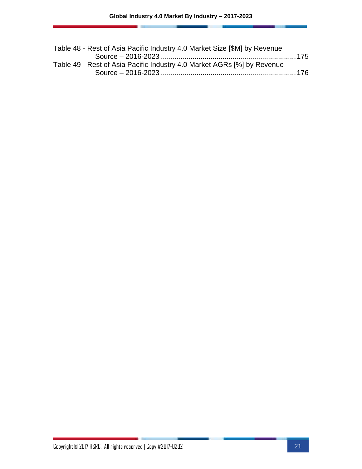| Table 48 - Rest of Asia Pacific Industry 4.0 Market Size [\$M] by Revenue |  |
|---------------------------------------------------------------------------|--|
|                                                                           |  |
| Table 49 - Rest of Asia Pacific Industry 4.0 Market AGRs [%] by Revenue   |  |
|                                                                           |  |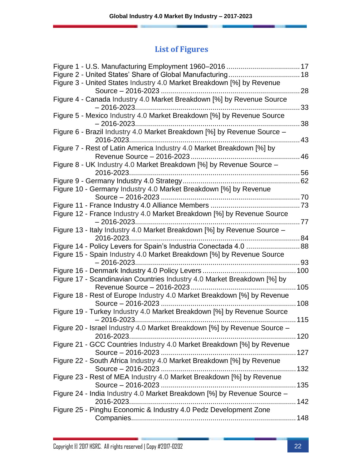| Figure 3 - United States Industry 4.0 Market Breakdown [%] by Revenue                               | 28        |
|-----------------------------------------------------------------------------------------------------|-----------|
| Figure 4 - Canada Industry 4.0 Market Breakdown [%] by Revenue Source<br>$-2016 - 2023$             | 33        |
| Figure 5 - Mexico Industry 4.0 Market Breakdown [%] by Revenue Source                               | 38        |
| Figure 6 - Brazil Industry 4.0 Market Breakdown [%] by Revenue Source -                             | 43        |
| Figure 7 - Rest of Latin America Industry 4.0 Market Breakdown [%] by<br>Revenue Source - 2016-2023 | 46        |
| Figure 8 - UK Industry 4.0 Market Breakdown [%] by Revenue Source -                                 | .56       |
|                                                                                                     | $\dots62$ |
| Figure 10 - Germany Industry 4.0 Market Breakdown [%] by Revenue                                    |           |
|                                                                                                     |           |
| Figure 12 - France Industry 4.0 Market Breakdown [%] by Revenue Source<br>$-2016 - 2023$            | . 77      |
| Figure 13 - Italy Industry 4.0 Market Breakdown [%] by Revenue Source -                             |           |
| Figure 14 - Policy Levers for Spain's Industria Conectada 4.0  88                                   |           |
| Figure 15 - Spain Industry 4.0 Market Breakdown [%] by Revenue Source<br>$-2016 - 2023$             |           |
|                                                                                                     |           |
| Figure 17 - Scandinavian Countries Industry 4.0 Market Breakdown [%] by                             |           |
| Figure 18 - Rest of Europe Industry 4.0 Market Breakdown [%] by Revenue                             |           |
| Figure 19 - Turkey Industry 4.0 Market Breakdown [%] by Revenue Source<br>$-2016 - 2023$            |           |
| Figure 20 - Israel Industry 4.0 Market Breakdown [%] by Revenue Source -                            |           |
| Figure 21 - GCC Countries Industry 4.0 Market Breakdown [%] by Revenue                              |           |
| Figure 22 - South Africa Industry 4.0 Market Breakdown [%] by Revenue                               |           |
| Figure 23 - Rest of MEA Industry 4.0 Market Breakdown [%] by Revenue                                |           |
| Figure 24 - India Industry 4.0 Market Breakdown [%] by Revenue Source -                             |           |
| Figure 25 - Pinghu Economic & Industry 4.0 Pedz Development Zone                                    |           |
|                                                                                                     |           |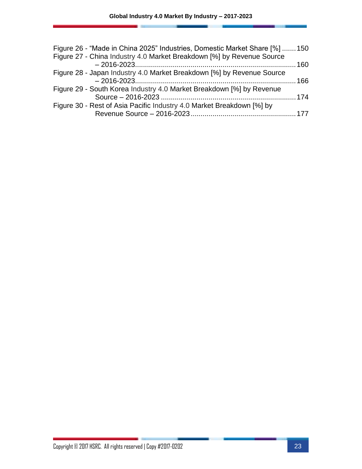| Figure 26 - "Made in China 2025" Industries, Domestic Market Share [%]  150 |  |
|-----------------------------------------------------------------------------|--|
| Figure 27 - China Industry 4.0 Market Breakdown [%] by Revenue Source       |  |
|                                                                             |  |
| Figure 28 - Japan Industry 4.0 Market Breakdown [%] by Revenue Source       |  |
|                                                                             |  |
| Figure 29 - South Korea Industry 4.0 Market Breakdown [%] by Revenue        |  |
|                                                                             |  |
| Figure 30 - Rest of Asia Pacific Industry 4.0 Market Breakdown [%] by       |  |
|                                                                             |  |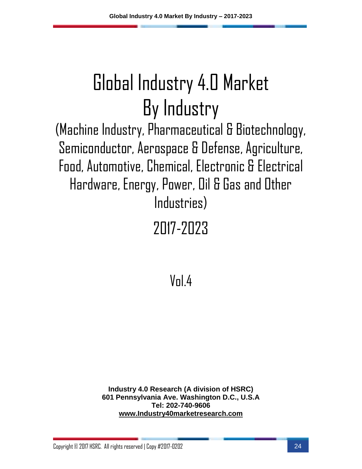(Machine Industry, Pharmaceutical & Biotechnology, Semiconductor, Aerospace & Defense, Agriculture, Food, Automotive, Chemical, Electronic & Electrical Hardware, Energy, Power, Oil & Gas and Other Industries)

## 2017-2023

 $V<sub>n</sub>$  $4$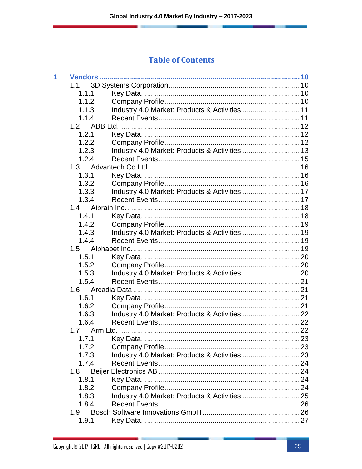| 1 |       |                                                |  |
|---|-------|------------------------------------------------|--|
|   | 1.1   |                                                |  |
|   | 1.1.1 |                                                |  |
|   | 1.1.2 |                                                |  |
|   | 1.1.3 | Industry 4.0 Market: Products & Activities  11 |  |
|   | 1.1.4 |                                                |  |
|   | 1.2   |                                                |  |
|   | 1.2.1 |                                                |  |
|   | 1.2.2 |                                                |  |
|   | 1.2.3 | Industry 4.0 Market: Products & Activities  13 |  |
|   | 1.2.4 |                                                |  |
|   | 1.3   |                                                |  |
|   | 1.3.1 |                                                |  |
|   | 1.3.2 |                                                |  |
|   | 1.3.3 | Industry 4.0 Market: Products & Activities  17 |  |
|   | 1.3.4 |                                                |  |
|   | 1.4   |                                                |  |
|   | 1.4.1 |                                                |  |
|   | 1.4.2 |                                                |  |
|   | 1.4.3 |                                                |  |
|   | 1.4.4 |                                                |  |
|   | 1.5   |                                                |  |
|   | 1.5.1 |                                                |  |
|   | 1.5.2 |                                                |  |
|   | 1.5.3 |                                                |  |
|   | 1.5.4 |                                                |  |
|   | 1.6   |                                                |  |
|   | 1.6.1 |                                                |  |
|   | 1.6.2 |                                                |  |
|   | 1.6.3 |                                                |  |
|   | 1.6.4 |                                                |  |
|   | 1.7   |                                                |  |
|   | 1.7.1 |                                                |  |
|   | 1.7.2 |                                                |  |
|   | 1.7.3 |                                                |  |
|   | 1.7.4 |                                                |  |
|   | 1.8   |                                                |  |
|   | 1.8.1 |                                                |  |
|   | 1.8.2 |                                                |  |
|   | 1.8.3 |                                                |  |
|   | 1.8.4 |                                                |  |
|   | 1.9   |                                                |  |
|   | 1.9.1 |                                                |  |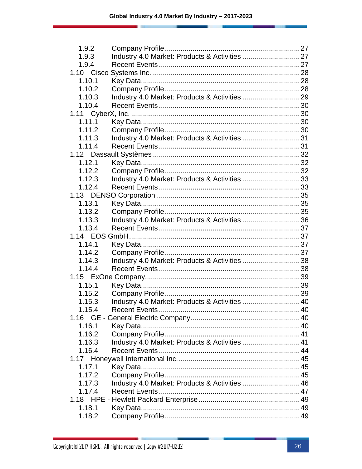| 1.9.2  |                                                |  |
|--------|------------------------------------------------|--|
| 1.9.3  |                                                |  |
| 1.9.4  |                                                |  |
|        |                                                |  |
| 1.10.1 |                                                |  |
| 1.10.2 |                                                |  |
| 1.10.3 |                                                |  |
| 1.10.4 |                                                |  |
|        |                                                |  |
| 1.11.1 |                                                |  |
| 1.11.2 |                                                |  |
| 1.11.3 | Industry 4.0 Market: Products & Activities 31  |  |
| 1.11.4 |                                                |  |
|        |                                                |  |
| 1.12.1 |                                                |  |
| 1.12.2 |                                                |  |
| 1.12.3 | Industry 4.0 Market: Products & Activities 33  |  |
| 1.12.4 |                                                |  |
|        |                                                |  |
| 1.13.1 |                                                |  |
| 1.13.2 |                                                |  |
| 1.13.3 | Industry 4.0 Market: Products & Activities 36  |  |
| 1.13.4 |                                                |  |
|        |                                                |  |
| 1.14.1 |                                                |  |
| 1.14.2 |                                                |  |
| 1.14.3 | Industry 4.0 Market: Products & Activities 38  |  |
| 1.14.4 |                                                |  |
|        |                                                |  |
| 1.15.1 |                                                |  |
| 1.15.2 |                                                |  |
| 1.15.3 | Industry 4.0 Market: Products & Activities  40 |  |
| 1.15.4 |                                                |  |
| 1.16   |                                                |  |
| 1.16.1 |                                                |  |
| 1.16.2 |                                                |  |
| 1.16.3 | Industry 4.0 Market: Products & Activities  41 |  |
| 1.16.4 |                                                |  |
|        |                                                |  |
| 1.17.1 |                                                |  |
| 1.17.2 |                                                |  |
| 1.17.3 | Industry 4.0 Market: Products & Activities  46 |  |
| 1.17.4 |                                                |  |
|        |                                                |  |
| 1.18.1 |                                                |  |
| 1.18.2 |                                                |  |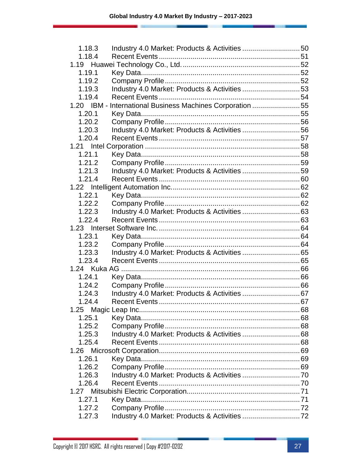| 1.18.3 |                                                           |  |
|--------|-----------------------------------------------------------|--|
| 1.18.4 |                                                           |  |
|        |                                                           |  |
| 1.19.1 |                                                           |  |
| 1.19.2 |                                                           |  |
| 1.19.3 | Industry 4.0 Market: Products & Activities 53             |  |
| 1.19.4 |                                                           |  |
|        | 1.20 IBM - International Business Machines Corporation 55 |  |
| 1.20.1 |                                                           |  |
| 1.20.2 |                                                           |  |
| 1.20.3 | Industry 4.0 Market: Products & Activities 56             |  |
| 1.20.4 |                                                           |  |
|        |                                                           |  |
| 1.21.1 |                                                           |  |
| 1.21.2 |                                                           |  |
| 1.21.3 | Industry 4.0 Market: Products & Activities 59             |  |
| 1.21.4 |                                                           |  |
|        |                                                           |  |
| 1.22.1 |                                                           |  |
| 1.22.2 |                                                           |  |
| 1.22.3 |                                                           |  |
| 1.22.4 |                                                           |  |
|        |                                                           |  |
| 1.23.1 |                                                           |  |
| 1.23.2 |                                                           |  |
| 1.23.3 |                                                           |  |
| 1.23.4 |                                                           |  |
|        |                                                           |  |
| 1.24.1 |                                                           |  |
| 1.24.2 |                                                           |  |
| 1.24.3 |                                                           |  |
| 1.24.4 |                                                           |  |
|        |                                                           |  |
| 1.25.1 |                                                           |  |
| 1.25.2 |                                                           |  |
| 1.25.3 |                                                           |  |
| 1.25.4 |                                                           |  |
|        |                                                           |  |
| 1.26.1 |                                                           |  |
| 1.26.2 |                                                           |  |
| 1.26.3 |                                                           |  |
| 1.26.4 |                                                           |  |
| 1.27   |                                                           |  |
| 1.27.1 |                                                           |  |
| 1.27.2 |                                                           |  |
| 1.27.3 |                                                           |  |
|        |                                                           |  |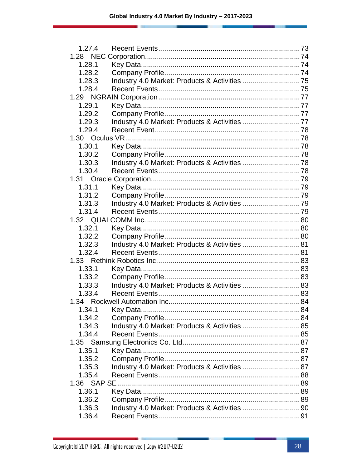| 1.27.4 |                                                |  |
|--------|------------------------------------------------|--|
|        |                                                |  |
| 1.28.1 |                                                |  |
| 1.28.2 |                                                |  |
| 1.28.3 |                                                |  |
| 1.28.4 |                                                |  |
|        |                                                |  |
| 1.29.1 |                                                |  |
| 1.29.2 |                                                |  |
| 1.29.3 |                                                |  |
| 1.29.4 |                                                |  |
|        |                                                |  |
| 1.30.1 |                                                |  |
| 1.30.2 |                                                |  |
| 1.30.3 |                                                |  |
| 1.30.4 |                                                |  |
|        |                                                |  |
| 1.31.1 |                                                |  |
| 1.31.2 |                                                |  |
| 1.31.3 |                                                |  |
| 1.31.4 |                                                |  |
|        |                                                |  |
| 1.32.1 |                                                |  |
| 1.32.2 |                                                |  |
| 1.32.3 | Industry 4.0 Market: Products & Activities  81 |  |
| 1.32.4 |                                                |  |
|        |                                                |  |
| 1.33.1 |                                                |  |
| 1.33.2 |                                                |  |
| 1.33.3 |                                                |  |
| 1.33.4 |                                                |  |
|        |                                                |  |
|        |                                                |  |
| 1.34.2 |                                                |  |
| 1.34.3 |                                                |  |
| 1.34.4 |                                                |  |
|        |                                                |  |
| 1.35.1 |                                                |  |
| 1.35.2 |                                                |  |
| 1.35.3 | Industry 4.0 Market: Products & Activities  87 |  |
| 1.35.4 |                                                |  |
|        |                                                |  |
| 1.36.1 |                                                |  |
| 1.36.2 |                                                |  |
| 1.36.3 |                                                |  |
| 1.36.4 |                                                |  |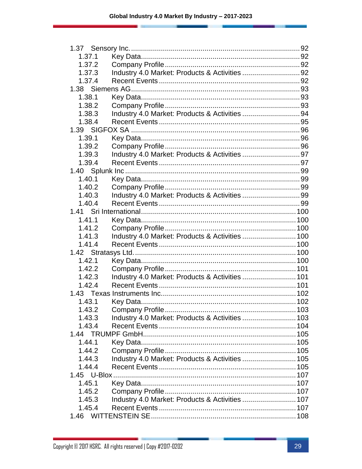| 1.37.1           |                                                 |  |
|------------------|-------------------------------------------------|--|
| 1.37.2           |                                                 |  |
| 1.37.3           |                                                 |  |
| 1.37.4           |                                                 |  |
|                  |                                                 |  |
| 1.38.1           |                                                 |  |
| 1.38.2           |                                                 |  |
| 1.38.3           | Industry 4.0 Market: Products & Activities 94   |  |
| 1.38.4           |                                                 |  |
|                  |                                                 |  |
| 1.39.1           |                                                 |  |
| 1.39.2           |                                                 |  |
| 1.39.3           |                                                 |  |
| 1.39.4           |                                                 |  |
|                  |                                                 |  |
| 1.40.1           |                                                 |  |
| 1.40.2           |                                                 |  |
| 1.40.3           |                                                 |  |
| 1.40.4           |                                                 |  |
|                  |                                                 |  |
| 1.41.1           |                                                 |  |
| 1.41.2           |                                                 |  |
| 1.41.3           | Industry 4.0 Market: Products & Activities  100 |  |
| 1.41.4           |                                                 |  |
|                  |                                                 |  |
| 1.42.1           |                                                 |  |
| 1.42.2           |                                                 |  |
| 1.42.3           | Industry 4.0 Market: Products & Activities  101 |  |
| 1.42.4           |                                                 |  |
|                  |                                                 |  |
| 1.43.1           |                                                 |  |
| 1.43.2           | Company Profile                                 |  |
|                  |                                                 |  |
| 1.43.3<br>1.43.4 |                                                 |  |
|                  |                                                 |  |
|                  |                                                 |  |
| 1.44.1           |                                                 |  |
| 1.44.2           |                                                 |  |
| 1.44.3           | Industry 4.0 Market: Products & Activities  105 |  |
| 1.44.4           |                                                 |  |
|                  |                                                 |  |
| 1.45.1           |                                                 |  |
| 1.45.2           |                                                 |  |
| 1.45.3           | Industry 4.0 Market: Products & Activities  107 |  |
| 1.45.4           |                                                 |  |
| 1.46             |                                                 |  |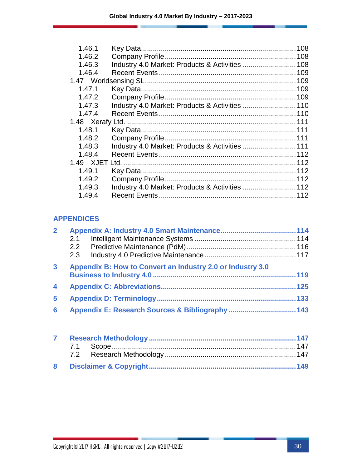| 1.46.1 |                                                 | 108 |
|--------|-------------------------------------------------|-----|
| 1.46.2 |                                                 |     |
| 1.46.3 |                                                 |     |
| 1.46.4 |                                                 |     |
|        |                                                 |     |
| 1.47.1 |                                                 |     |
| 1.47.2 |                                                 |     |
| 1.47.3 |                                                 |     |
| 1.47.4 |                                                 |     |
|        |                                                 |     |
| 1.48.1 |                                                 |     |
| 1.48.2 |                                                 |     |
| 1.48.3 | Industry 4.0 Market: Products & Activities  111 |     |
| 1.48.4 |                                                 |     |
|        |                                                 |     |
| 1.49.1 |                                                 |     |
| 1.49.2 |                                                 |     |
| 1.49.3 | Industry 4.0 Market: Products & Activities  112 |     |
| 1.49.4 |                                                 |     |
|        |                                                 |     |

#### **APPENDICES**

| $\overline{2}$          |                                                            |  |
|-------------------------|------------------------------------------------------------|--|
|                         | 2.1                                                        |  |
|                         |                                                            |  |
|                         | 2.3                                                        |  |
| $\mathbf{3}$            | Appendix B: How to Convert an Industry 2.0 or Industry 3.0 |  |
|                         |                                                            |  |
| $\overline{\mathbf{4}}$ |                                                            |  |
| 5                       |                                                            |  |
| 6                       |                                                            |  |